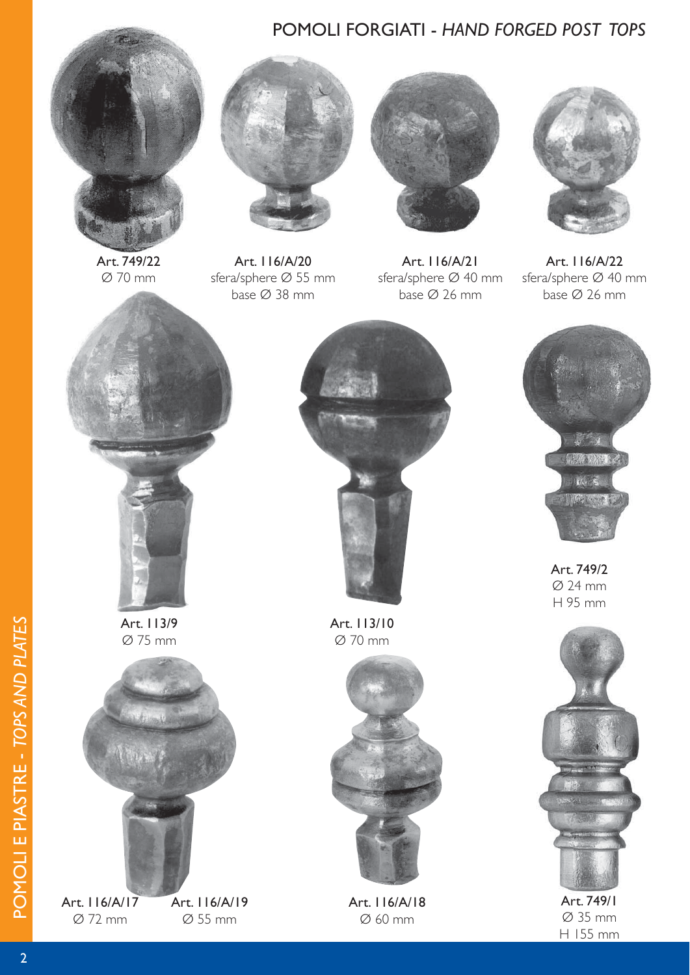## POMOLI FORGIATI - *HAND FORGED POST TOPS*



Art. 749/22 Ø 70 mm



Art. 116/A/20 sfera/sphere Ø 55 mm base Ø 38 mm



Art. 116/A/21 sfera/sphere Ø 40 mm base Ø 26 mm



Art. 116/A/22 sfera/sphere Ø 40 mm base Ø 26 mm



Art. 113/9 Ø 75 mm



Art. 116/A/17 Ø 72 mm

Art. 116/A/19 Ø 55 mm



Art. 113/10 Ø 70 mm



Art. 116/A/18 Ø 60 mm



Art. 749/2 Ø 24 mm H 95 mm



Art. 749/1 Ø 35 mm H 155 mm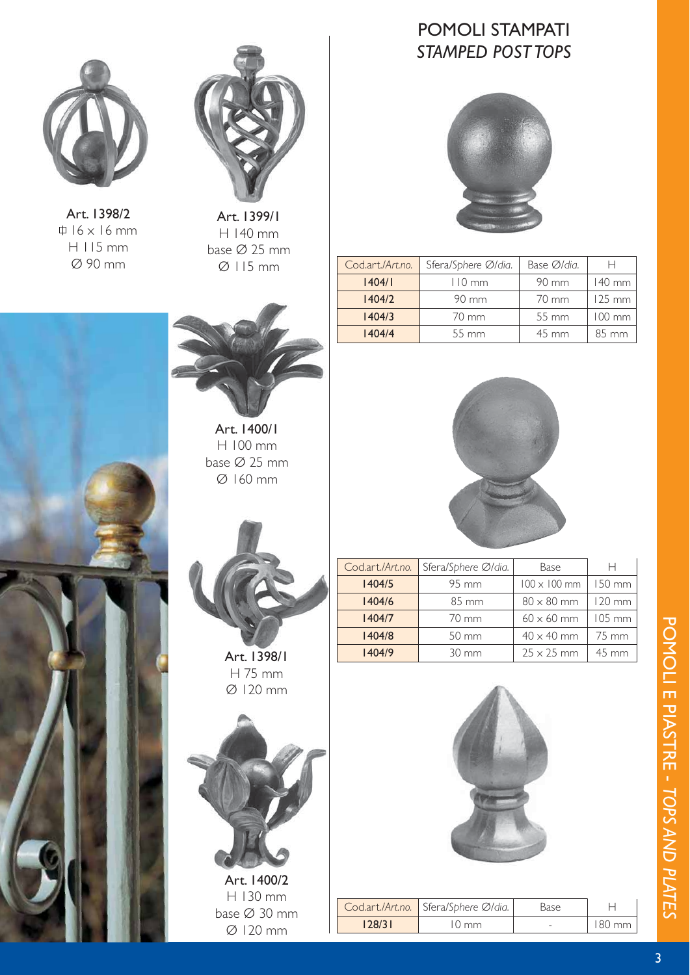

Art. 1398/2  $\uparrow$  16 x 16 mm H 115 mm Ø 90 mm



Art. 1399/1 H 140 mm base Ø 25 mm Ø 115 mm



Art. 1400/1 H 100 mm base Ø 25 mm Ø 160 mm



Art. 1398/1 H 75 mm Ø 120 mm



H 130 mm base Ø 30 mm Ø 120 mm

## POMOLI STAMPATI *STAMPED POST TOPS*



| Cod.art./Art.no. | Sfera/Sphere Ø/dia. | Base Ø/dia.     | н                |
|------------------|---------------------|-----------------|------------------|
| 1404/1           | $110 \text{ mm}$    | $90 \text{ mm}$ | $140$ mm         |
| 1404/2           | 90 mm               |                 | $125 \text{ mm}$ |
| 1404/3           | 70 mm               | 55 mm           | $100$ mm         |
| 1404/4           | $55 \, \text{mm}$   | $45 \text{ mm}$ | 85 mm            |



| Cod.art./Art.no. | Sfera/Sphere Ø/dia. | Base                | н                  |
|------------------|---------------------|---------------------|--------------------|
| 1404/5           | 95 mm               | $100 \times 100$ mm | 150 mm             |
| 1404/6           | 85 mm               | $80 \times 80$ mm   | $120 \text{ mm}$   |
| 1404/7           | 70 mm               | $60 \times 60$ mm   | $105 \, \text{mm}$ |
| 1404/8           | 50 mm               | $40 \times 40$ mm   | 75 mm              |
| 1404/9           | $30 \text{ mm}$     | $25 \times 25$ mm   | 45 mm              |
|                  |                     |                     |                    |



|        | Cod.art./Art.no. Sfera/Sphere Ø/dia. | <b>Base</b>              |                  |
|--------|--------------------------------------|--------------------------|------------------|
| 128/31 | $\frac{1}{2}$ mm                     | $\overline{\phantom{a}}$ | $180 \text{ mm}$ |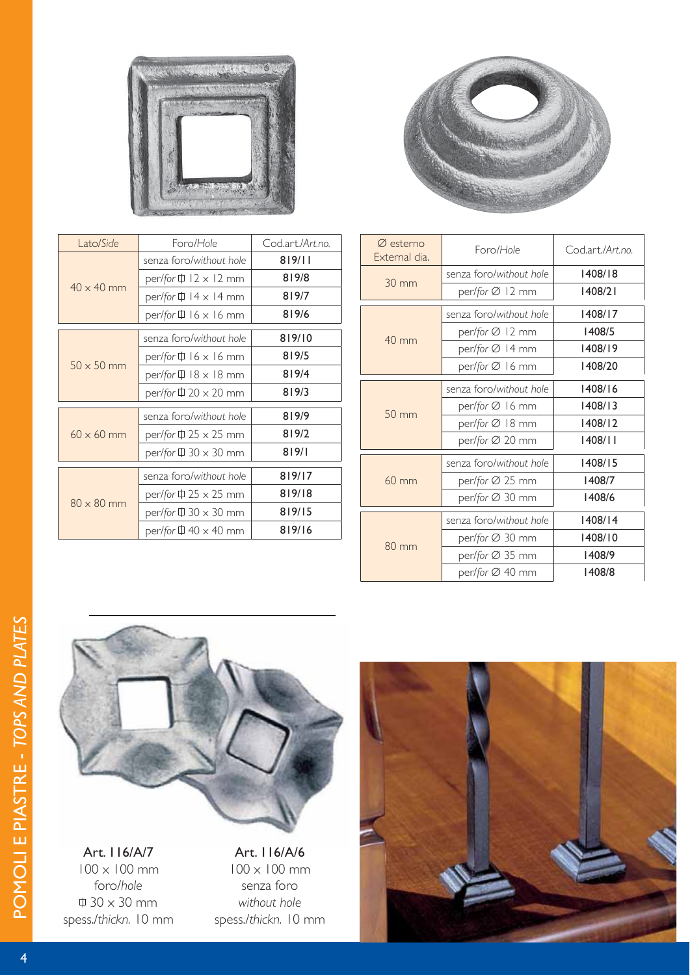

| Lato/Side         | Foro/Hole                                   | Codart/Art.no. |
|-------------------|---------------------------------------------|----------------|
| $40 \times 40$ mm | senza foro/without hole                     | 819/11         |
|                   | per/for $\overline{\mathbb{H}}$ 12 x 12 mm  | 819/8          |
|                   | per/for $\overline{\psi}$ 14 x 14 mm        | 819/7          |
|                   | per/for $\uparrow$ 16 x 16 mm               | 819/6          |
|                   | senza foro/without hole                     | 819/10         |
| $50 \times 50$ mm | per/for $\overline{\mathbb{H}}$ 16 x 16 mm  | 819/5          |
|                   | per/for $\overline{\mathbb{Q}}$ 18 x 18 mm  | 819/4          |
|                   | per/for $\bar{\psi}$ 20 $\times$ 20 mm      | 819/3          |
|                   | senza foro/without hole                     | 819/9          |
| $60 \times 60$ mm | per/for $\Pi$ 25 $\times$ 25 mm             | 819/2          |
|                   | per/for $\uparrow$ 30 $\times$ 30 mm        | 819/1          |
| $80 \times 80$ mm | senza foro/without hole                     | 819/17         |
|                   | per/for $\overline{\psi}$ 25 $\times$ 25 mm | 819/18         |
|                   | per/for $\bar{\psi}$ 30 $\times$ 30 mm      | 819/15         |
|                   | per/for $\overline{\psi}$ 40 $\times$ 40 mm | 819/16         |
|                   |                                             |                |



| $\varnothing$ esterno<br>External dia. | Foro/Hole               | Cod.art./Art.no. |
|----------------------------------------|-------------------------|------------------|
| $30 \text{ mm}$                        | senza foro/without hole | 1408/18          |
|                                        | per/for Ø 12 mm         | 1408/21          |
|                                        | senza foro/without hole | 1408/17          |
| $40 \text{ mm}$                        | per/for Ø 12 mm         | 1408/5           |
|                                        | per/for Ø 14 mm         | 1408/19          |
|                                        | per/for Ø 16 mm         | 1408/20          |
|                                        | senza foro/without hole | 1408/16          |
| $50 \, \text{mm}$                      | per/for Ø 16 mm         | 1408/13          |
|                                        | per/for Ø 18 mm         | 1408/12          |
|                                        | per/for Ø 20 mm         | 1408/11          |
|                                        | senza foro/without hole | 1408/15          |
| $60 \text{ mm}$                        | per/for Ø 25 mm         | 1408/7           |
|                                        | per/for Ø 30 mm         | 1408/6           |
| $80 \text{ mm}$                        | senza foro/without hole | 1408/14          |
|                                        | per/for Ø 30 mm         | 1408/10          |
|                                        | per/for Ø 35 mm         | 1408/9           |
|                                        | per/for Ø 40 mm         | 1408/8           |



Art. 116/A/7 100 x 100 mm foro/*hole*  $\uparrow$  30 x 30 mm spess./*thickn.* 10 mm

Art. 116/A/6 100 x 100 mm senza foro *without hole* spess./*thickn.* 10 mm

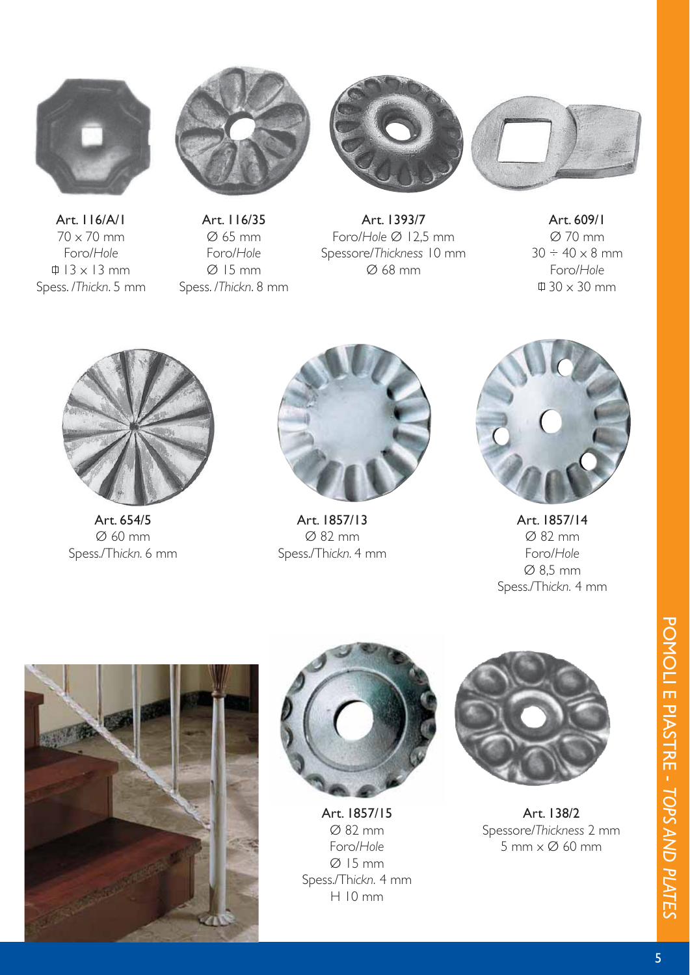

Art. 116/A/1 70 x 70 mm Foro/*Hole*  $\uparrow$  13 x 13 mm Spess. /*Thickn*. 5 mm



Art. 116/35 Ø 65 mm Foro/*Hole*  $Ø$  15 mm Spess. /*Thickn*. 8 mm



Art. 1393/7 Foro/*Hole* Ø 12,5 mm Spessore/*Thickness* 10 mm Ø 68 mm



Art. 609/1 Ø 70 mm  $30 \div 40 \times 8$  mm Foro/*Hole* 30 x 30 mm



Art. 654/5 Ø 60 mm Spess./Th*ickn.* 6 mm



Art. 1857/13 Ø 82 mm Spess./Th*ickn.* 4 mm



Art. 1857/14 Ø 82 mm Foro/*Hole* Ø 8,5 mm Spess./Th*ickn.* 4 mm





Art. 1857/15 Ø 82 mm Foro/*Hole* Ø 15 mm Spess./Th*ickn.* 4 mm H 10 mm



Art. 138/2 Spessore/*Thickness* 2 mm 5 mm x Ø 60 mm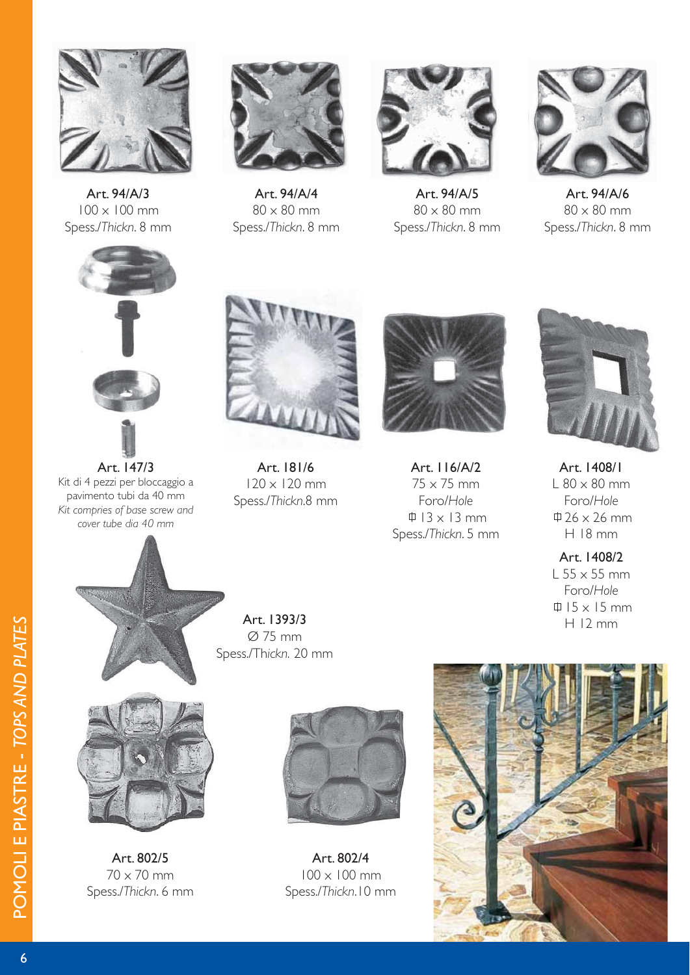

Art. 94/A/3 100 x 100 mm Spess./*Thickn*. 8 mm



Art. 94/A/4  $80 \times 80$  mm Spess./*Thickn*. 8 mm



Art. 94/A/5  $80 \times 80$  mm Spess./*Thickn*. 8 mm



Art. 94/A/6  $80 \times 80$  mm Spess./*Thickn*. 8 mm



Art. 147/3 Kit di 4 pezzi per bloccaggio a pavimento tubi da 40 mm *Kit compries of base screw and cover tube dia 40 mm*



Art. 181/6 120 x 120 mm Spess./*Thickn*.8 mm



Art. 116/A/2 75 x 75 mm Foro/*Hole*  $\uparrow$  13 x 13 mm Spess./*Thickn*. 5 mm



Art. 1408/1  $L 80 \times 80$  mm Foro/*Hole*  $\updownarrow$  26 x 26 mm H 18 mm

Art. 1408/2  $L$  55  $\times$  55 mm Foro/*Hole*  $\uparrow$  15 x 15 mm H 12 mm





Art. 802/5

Art. 1393/3 Ø 75 mm Spess./Th*ickn.* 20 mm

Art. 802/4 100 x 100 mm Spess./*Thickn*.10 mm

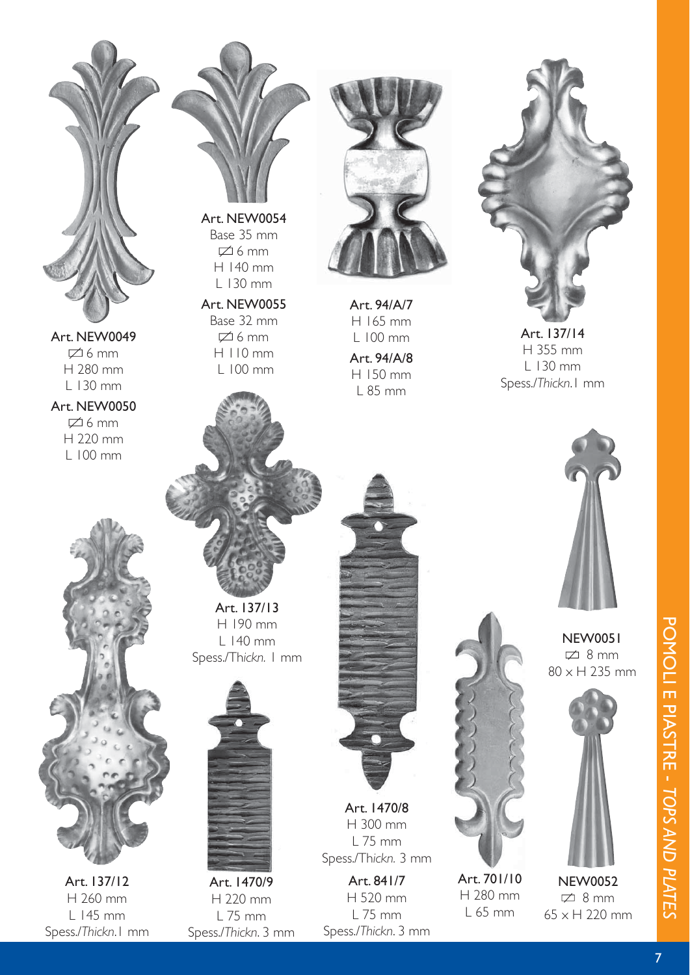

Art. NEW0049  $\cancel{\equiv} 6$  mm H 280 mm L 130 mm

Art. NEW0050  $\boxtimes$  6 mm H 220 mm L 100 mm

Art. 137/12 H 260 mm L 145 mm Spess./*Thickn*.1 mm



L 130 mm Art. NEW0055 Base 32 mm  $\cancel{\Box}$  6 mm H 110 mm

L 100 mm



Art. 94/A/7 H 165 mm L 100 mm Art. 94/A/8 H 150 mm L 85 mm



Art. 137/14 H 355 mm L 130 mm Spess./*Thickn*.1 mm

NEW0051  $\sqrt{2}$  8 mm 80 x H 235 mm



NEW0052  $\sqrt{2}$  8 mm 65 x H 220 mm

Art. 137/13 H 190 mm L 140 mm Spess./Th*ickn.* 1 mm



Art. 1470/9 H 220 mm L 75 mm Spess./*Thickn*. 3 mm



Art. 1470/8 H 300 mm L 75 mm Spess./Th*ickn.* 3 mm

Art. 841/7 H 520 mm L 75 mm Spess./*Thickn*. 3 mm



Art. 701/10 H 280 mm L 65 mm